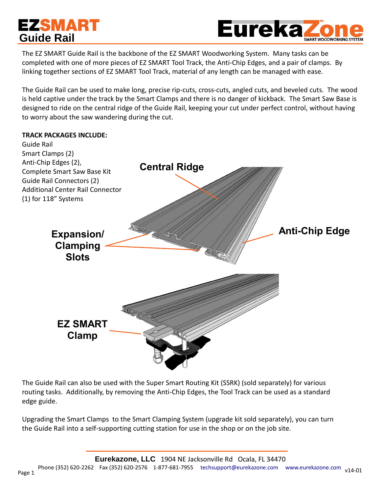# **EZSMART Guide Rail**



The EZ SMART Guide Rail is the backbone of the EZ SMART Woodworking System. Many tasks can be completed with one of more pieces of EZ SMART Tool Track, the Anti-Chip Edges, and a pair of clamps. By linking together sections of EZ SMART Tool Track, material of any length can be managed with ease.

The Guide Rail can be used to make long, precise rip-cuts, cross-cuts, angled cuts, and beveled cuts. The wood is held captive under the track by the Smart Clamps and there is no danger of kickback. The Smart Saw Base is designed to ride on the central ridge of the Guide Rail, keeping your cut under perfect control, without having to worry about the saw wandering during the cut.

#### **TRACK PACKAGES INCLUDE:**



The Guide Rail can also be used with the Super Smart Routing Kit (SSRK) (sold separately) for various routing tasks. Additionally, by removing the Anti-Chip Edges, the Tool Track can be used as a standard edge guide.

Upgrading the Smart Clamps to the Smart Clamping System (upgrade kit sold separately), you can turn the Guide Rail into a self-supporting cutting station for use in the shop or on the job site.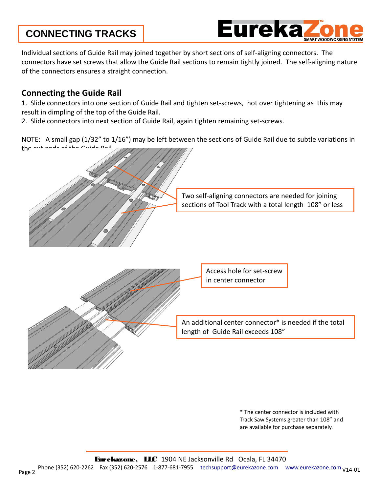### **CONNECTING TRACKS**



Individual sections of Guide Rail may joined together by short sections of self-aligning connectors. The connectors have set screws that allow the Guide Rail sections to remain tightly joined. The self-aligning nature of the connectors ensures a straight connection.

#### **Connecting the Guide Rail**

1. Slide connectors into one section of Guide Rail and tighten set-screws, not over tightening as this may result in dimpling of the top of the Guide Rail.

2. Slide connectors into next section of Guide Rail, again tighten remaining set-screws.

NOTE: A small gap (1/32" to 1/16") may be left between the sections of Guide Rail due to subtle variations in the cut and of the Guide Rail.



\* The center connector is included with Track Saw Systems greater than 108" and are available for purchase separately.